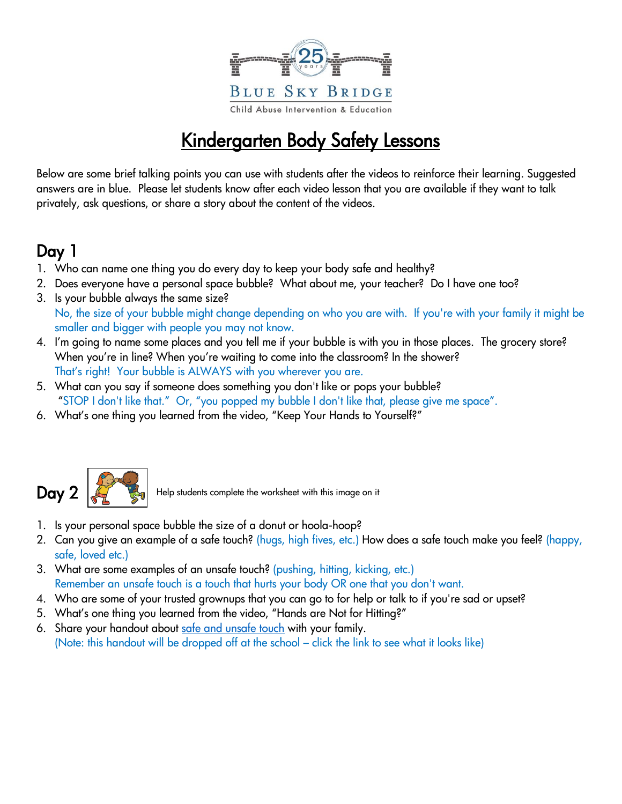

## Kindergarten Body Safety Lessons

Below are some brief talking points you can use with students after the videos to reinforce their learning. Suggested answers are in blue. Please let students know after each video lesson that you are available if they want to talk privately, ask questions, or share a story about the content of the videos.

## Day 1

- 1. Who can name one thing you do every day to keep your body safe and healthy?
- 2. Does everyone have a personal space bubble? What about me, your teacher? Do I have one too?
- 3. Is your bubble always the same size?
- No, the size of your bubble might change depending on who you are with. If you're with your family it might be smaller and bigger with people you may not know.
- 4. I'm going to name some places and you tell me if your bubble is with you in those places. The grocery store? When you're in line? When you're waiting to come into the classroom? In the shower? That's right! Your bubble is ALWAYS with you wherever you are.
- 5. What can you say if someone does something you don't like or pops your bubble? "STOP I don't like that." Or, "you popped my bubble I don't like that, please give me space".
- 6. What's one thing you learned from the video, "Keep Your Hands to Yourself?"



Help students complete the worksheet with this image on it

- 1. Is your personal space bubble the size of a donut or hoola-hoop?
- 2. Can you give an example of a safe touch? (hugs, high fives, etc.) How does a safe touch make you feel? (happy, safe, loved etc.)
- 3. What are some examples of an unsafe touch? (pushing, hitting, kicking, etc.) Remember an unsafe touch is a touch that hurts your body OR one that you don't want.
- 4. Who are some of your trusted grownups that you can go to for help or talk to if you're sad or upset?
- 5. What's one thing you learned from the video, "Hands are Not for Hitting?"
- 6. Share your handout about [safe and unsafe touch](https://blueskybridge.org/wp-content/uploads/safe-and-unsafe-touch-images-_-kinder.pdf) with your family. (Note: this handout will be dropped off at the school – click the link to see what it looks like)